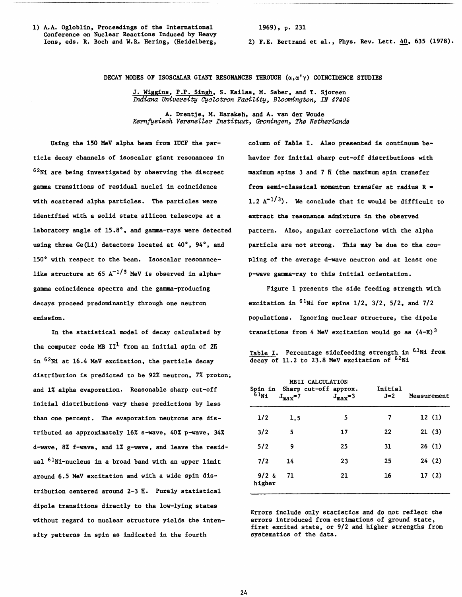1) A.A. Ogloblin, Proceedings of the International 1969), p. 231 **Conference on Nuclear Reactions Induced by Heavy** 

**Ions, eds. R. Boch and W.R. Hering, (Heidelberg, 2) F.E. Bertrand et al., Phys. Rev. Lett.** 40, **635 (1978).** 

DECAY MODES OF ISOSCALAR GIANT RESONANCES THROUGH  $(\alpha, \alpha' \gamma)$  COINCIDENCE STUDIES

**J. Wiggins, P.P. Singh, S. Kailas, M. Saber, and T. Sjoreen**  Indiana University Cyclotron Facility, Bloomington, IN 47405

**A. Drentje, M. Harakeh, and A. van der Woude**  Kernfysisch Versneller Instituut, Groningen, The Netherlands

**ticle decay channels of isoscalar giant resonances in havior for initial sharp cut-off distributions with**  <sup>62</sup>Ni are being investigated by observing the discreet maximum spins 3 and 7 fi (the maximum spin transfer **gama transitions of residual nuclei in coincidence from semi-classical momentum transfer at radius R** = **identified with a solid state silicon telescope at a extract the resonance admixture in the observed laboratory angle of 15.8', and gamma-rays were detected pattern. Also, angular correlations with the alpha using three Ge(Li) detectors located at 40°, 94', and particle are not strong. This may be due to the cou-150' with respect to the beam. Isoscalar resonance- pling of the average d-wave neutron and at least one**  like structure at 65 A<sup>-1/3</sup> MeV is observed in alpha- p-wave gamma-ray to this initial orientation. **gamma coincidence spectra and the gamma-producing Figure 1 presents the side feeding strength with**  decays proceed predominantly through one neutron **excitation** in  ${}^{6}$ <sup>1</sup>Ni for spins 1/2, 3/2, 5/2, and 7/2 **emission. populations. Ignoring nuclear structure, the dipole** 

the computer code MB  $II<sup>1</sup>$  from an initial spin of  $2F$ in <sup>62</sup>Ni at 16.4 MeV excitation, the particle decay **distribution is predicted to be 92% neutron, 7% proton,**  and 1% alpha evaporation. Reasonable sharp cut-off **initial distributions vary these predictions by less**  than one percent. The evaporation neutrons are distributed as approximately 16% s-wave, 40% p-wave, 34% d-wave, 8% f-wave, and 1% g-wave, and leave the residual <sup>61</sup>Ni-nucleus in a broad band with an upper limit around 6.5 MeV excitation and with a wide spin dis**tribution centered around 2-3 Ii. Purely statistical dipole transitions directly to the low-lying states without regard to nuclear structure yields the inten- errors introduced from estimations of ground state,**  sity patterns in spin as indicated in the fourth

**Using the 150 MeV alpha beam from IUCF the par- column of Ta6le I. Also presented is continuum be**with scattered alpha particles. The particles were  $1.2 A^{-1/3}$ . We conclude that it would be difficult to

**In the statistical model of decay calculated by transitions from 4 MeV excitation would go as (4-E)** 

**Table I.** Percentage sidefeeding strength in <sup>61</sup>Ni from decay of 11.2 to 23.8 MeV excitation of <sup>62</sup>Ni

| $61_{N1}$         | $J_{\text{max}}=7$ | <b>MBII CALCULATION</b><br>Spin in Sharp cut-off approx.<br>$J_{\text{max}}=3$ | Initial<br>$J=2$ | Measurement |
|-------------------|--------------------|--------------------------------------------------------------------------------|------------------|-------------|
| 1/2               | 1.5                | 5                                                                              | 7                | 12(1)       |
| 3/2               | 5                  | 17                                                                             | 22               | 21(3)       |
| 5/2               | 9                  | 25                                                                             | 31               | 26(1)       |
| 7/2               | 14                 | 23                                                                             | 25               | 24(2)       |
| $9/2$ &<br>higher | 71                 | 21                                                                             | 16               | 17(2)       |

**Errors include only statistics and do not reflect the**  first excited state, or 9/2 and higher strengths from<br>systematics of the data.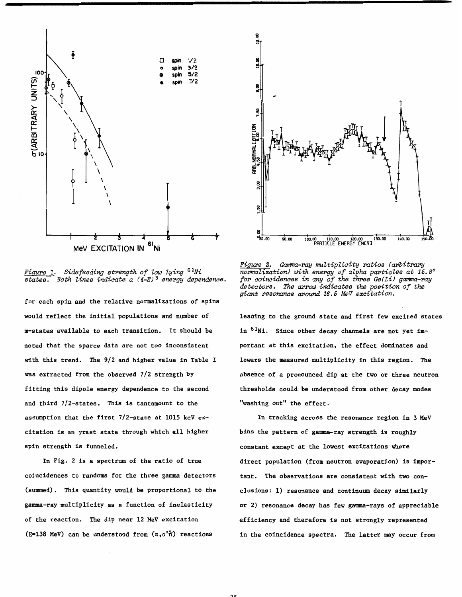

*Fi.guxe* **1.**  *states. Sidefeeding strength of low lying*  $61Ni$ *Both Zines indicate a* f **4-E)** *energy dependence.* 

for each spin and the relative normalizations of spins would reflect the initial populations and number of m-states available to each transition. It should be noted that the sparce data are not too inconsistent with this trend. The 9/2 and higher value in Table I was extracted from the observed 7/2 strength by fitting this dipole energy dependence to the second and third  $7/2$ -states. This is tantamount to the assumption that the first 7/2-state at 1015 keV excitation is an yrast state through which all higher spin strength is funneled.

In Fig. 2 is a spectrum of the ratio of true coincidences to randoms for the three gamma detectors (summed). This quantity would be proportional to the gamma-ray multiplicity as a function of inelasticity of the reaction. The dip near 12 MeV excitation (E=138 MeV) can be understood from  $(\alpha, \alpha' \hat{\alpha}')$  reactions



*Figure 2. ma-ray multiplicity ratios (arbitrary normalization) with energy of alpha particles at* **15.8'**  for coincidences in any of the three Ge(Li) gamma-ray *detectors. The arrm indicates the position of the &ant resonance around 16.5 MeV excitation.* 

leading to the ground state and first few excited states in  $6\ln$ . Since other decay channels are not yet important at this excitation, the effect dominates and lowers the measured multiplicity in this region. **The**  absence of a pronounced dip at the two or three neutron thresholds could be understood from other decay modes "washing out" the effect.

In tracking across the resonance region in 3 MeV bins the pattern of gamma-ray strength is roughly constant except at the lowest excitattons where direct population (from neutron evaporation) is important. The observations are consistent with two conclusions: 1) resonance and continuum decay similarly or 2) resonance decay has few gamma-rays of appreciable efficiency and therefore is not strongly represented in the coincidence spectra. The latter may occur from